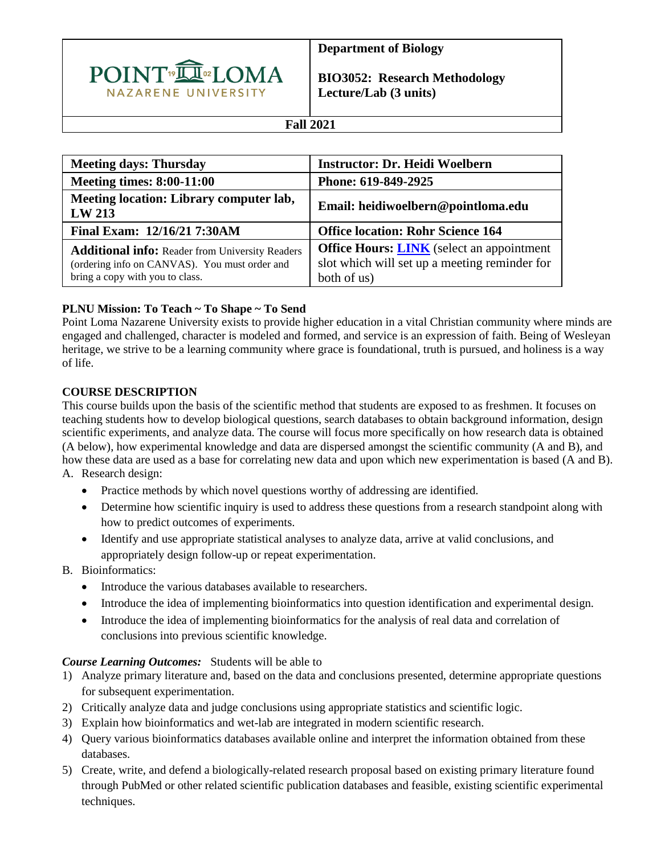

**Department of Biology** 

**BIO3052: Research Methodology Lecture/Lab (3 units)** 

## **Fall 2021**

| <b>Meeting days: Thursday</b>                                                                                                              | <b>Instructor: Dr. Heidi Woelbern</b>                                                                            |
|--------------------------------------------------------------------------------------------------------------------------------------------|------------------------------------------------------------------------------------------------------------------|
| <b>Meeting times: 8:00-11:00</b>                                                                                                           | Phone: 619-849-2925                                                                                              |
| Meeting location: Library computer lab,<br>LW 213                                                                                          | Email: heidiwoelbern@pointloma.edu                                                                               |
| Final Exam: 12/16/21 7:30AM                                                                                                                | <b>Office location: Rohr Science 164</b>                                                                         |
| <b>Additional info: Reader from University Readers</b><br>(ordering info on CANVAS). You must order and<br>bring a copy with you to class. | <b>Office Hours: LINK</b> (select an appointment<br>slot which will set up a meeting reminder for<br>both of us) |

## **PLNU Mission: To Teach ~ To Shape ~ To Send**

Point Loma Nazarene University exists to provide higher education in a vital Christian community where minds are engaged and challenged, character is modeled and formed, and service is an expression of faith. Being of Wesleyan heritage, we strive to be a learning community where grace is foundational, truth is pursued, and holiness is a way of life.

## **COURSE DESCRIPTION**

This course builds upon the basis of the scientific method that students are exposed to as freshmen. It focuses on teaching students how to develop biological questions, search databases to obtain background information, design scientific experiments, and analyze data. The course will focus more specifically on how research data is obtained (A below), how experimental knowledge and data are dispersed amongst the scientific community (A and B), and how these data are used as a base for correlating new data and upon which new experimentation is based (A and B). A. Research design:

- Practice methods by which novel questions worthy of addressing are identified.
- Determine how scientific inquiry is used to address these questions from a research standpoint along with how to predict outcomes of experiments.
- Identify and use appropriate statistical analyses to analyze data, arrive at valid conclusions, and appropriately design follow-up or repeat experimentation.
- B. Bioinformatics:
	- Introduce the various databases available to researchers.
	- Introduce the idea of implementing bioinformatics into question identification and experimental design.
	- Introduce the idea of implementing bioinformatics for the analysis of real data and correlation of conclusions into previous scientific knowledge.

#### *Course Learning Outcomes:* Students will be able to

- 1) Analyze primary literature and, based on the data and conclusions presented, determine appropriate questions for subsequent experimentation.
- 2) Critically analyze data and judge conclusions using appropriate statistics and scientific logic.
- 3) Explain how bioinformatics and wet-lab are integrated in modern scientific research.
- 4) Query various bioinformatics databases available online and interpret the information obtained from these databases.
- 5) Create, write, and defend a biologically-related research proposal based on existing primary literature found through PubMed or other related scientific publication databases and feasible, existing scientific experimental techniques.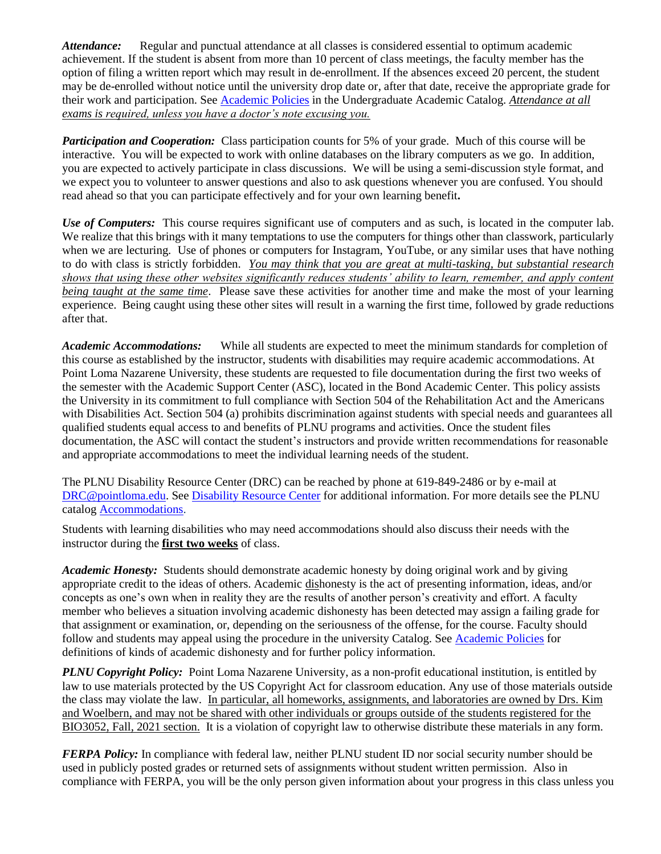*Attendance:* Regular and punctual attendance at all classes is considered essential to optimum academic achievement. If the student is absent from more than 10 percent of class meetings, the faculty member has the option of filing a written report which may result in de-enrollment. If the absences exceed 20 percent, the student may be de-enrolled without notice until the university drop date or, after that date, receive the appropriate grade for their work and participation. See [Academic Policies](http://catalog.pointloma.edu/content.php?catoid=18&navoid=1278) in the Undergraduate Academic Catalog. *Attendance at all exams is required, unless you have a doctor's note excusing you.*

*Participation and Cooperation:* Class participation counts for 5% of your grade. Much of this course will be interactive. You will be expected to work with online databases on the library computers as we go. In addition, you are expected to actively participate in class discussions. We will be using a semi-discussion style format, and we expect you to volunteer to answer questions and also to ask questions whenever you are confused. You should read ahead so that you can participate effectively and for your own learning benefit**.**

*Use of Computers:*This course requires significant use of computers and as such, is located in the computer lab. We realize that this brings with it many temptations to use the computers for things other than classwork, particularly when we are lecturing. Use of phones or computers for Instagram, YouTube, or any similar uses that have nothing to do with class is strictly forbidden. *You may think that you are great at multi-tasking, but substantial research shows that using these other websites significantly reduces students' ability to learn, remember, and apply content being taught at the same time*. Please save these activities for another time and make the most of your learning experience. Being caught using these other sites will result in a warning the first time, followed by grade reductions after that.

*Academic Accommodations:* While all students are expected to meet the minimum standards for completion of this course as established by the instructor, students with disabilities may require academic accommodations. At Point Loma Nazarene University, these students are requested to file documentation during the first two weeks of the semester with the Academic Support Center (ASC), located in the Bond Academic Center. This policy assists the University in its commitment to full compliance with Section 504 of the Rehabilitation Act and the Americans with Disabilities Act. Section 504 (a) prohibits discrimination against students with special needs and guarantees all qualified students equal access to and benefits of PLNU programs and activities. Once the student files documentation, the ASC will contact the student's instructors and provide written recommendations for reasonable and appropriate accommodations to meet the individual learning needs of the student.

The PLNU Disability Resource Center (DRC) can be reached by phone at 619-849-2486 or by e-mail at [DRC@pointloma.edu.](mailto:DRC@pointloma.edu) See [Disability Resource Center](https://www.pointloma.edu/offices/disability-resource-center) for additional information. For more details see the PLNU catalog [Accommodations.](https://catalog.pointloma.edu/content.php?catoid=35&navoid=2136#Academic_Accommodations)

Students with learning disabilities who may need accommodations should also discuss their needs with the instructor during the **first two weeks** of class.

*Academic Honesty:* Students should demonstrate academic honesty by doing original work and by giving appropriate credit to the ideas of others. Academic dishonesty is the act of presenting information, ideas, and/or concepts as one's own when in reality they are the results of another person's creativity and effort. A faculty member who believes a situation involving academic dishonesty has been detected may assign a failing grade for that assignment or examination, or, depending on the seriousness of the offense, for the course. Faculty should follow and students may appeal using the procedure in the university Catalog. See [Academic Policies](http://catalog.pointloma.edu/content.php?catoid=18&navoid=1278) for definitions of kinds of academic dishonesty and for further policy information.

*PLNU Copyright Policy:* Point Loma Nazarene University, as a non-profit educational institution, is entitled by law to use materials protected by the US Copyright Act for classroom education. Any use of those materials outside the class may violate the law.In particular, all homeworks, assignments, and laboratories are owned by Drs. Kim and Woelbern, and may not be shared with other individuals or groups outside of the students registered for the BIO3052, Fall, 2021 section. It is a violation of copyright law to otherwise distribute these materials in any form.

*FERPA Policy:* In compliance with federal law, neither PLNU student ID nor social security number should be used in publicly posted grades or returned sets of assignments without student written permission. Also in compliance with FERPA, you will be the only person given information about your progress in this class unless you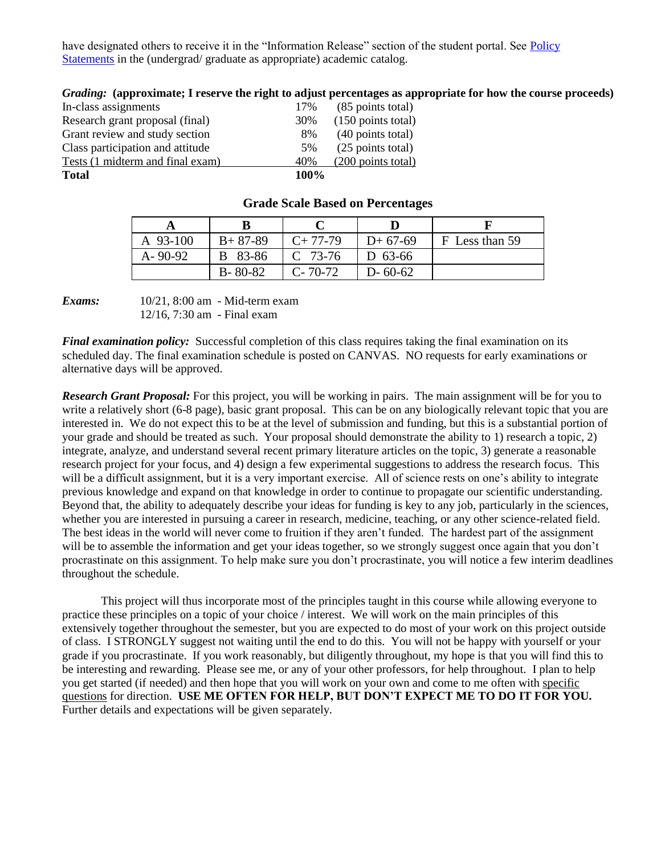have designated others to receive it in the "Information Release" section of the student portal. See Policy [Statements](http://www.pointloma.edu/experience/academics/catalogs/undergraduate-catalog/policy-statements) in the (undergrad/ graduate as appropriate) academic catalog.

|              | Grading: (approximate; I reserve the right to adjust percentages as appropriate for ho |      |                              |
|--------------|----------------------------------------------------------------------------------------|------|------------------------------|
|              | In-class assignments                                                                   | 17%  | (85 points total)            |
|              | Research grant proposal (final)                                                        | 30%  | $(150 \text{ points total})$ |
|              | Grant review and study section                                                         | 8%   | (40 points total)            |
|              | Class participation and attitude                                                       | 5%   | (25 points total)            |
|              | Tests (1 midterm and final exam)                                                       | 40%  | $(200 \text{ points total})$ |
| <b>Total</b> |                                                                                        | 100% |                              |

## fiate for how the course proceeds)

| A 93-100      | $B+87-89$     | $C+77-79$     | $D+67-69$     | F Less than 59 |
|---------------|---------------|---------------|---------------|----------------|
| $A - 90 - 92$ | B 83-86       | $C$ 73-76     | D 63-66       |                |
|               | $B - 80 - 82$ | $C - 70 - 72$ | $D - 60 - 62$ |                |

#### **Grade Scale Based on Percentages**



*Final examination policy:* Successful completion of this class requires taking the final examination on its scheduled day. The final examination schedule is posted on CANVAS. NO requests for early examinations or alternative days will be approved.

*Research Grant Proposal:* For this project, you will be working in pairs. The main assignment will be for you to write a relatively short (6-8 page), basic grant proposal. This can be on any biologically relevant topic that you are interested in. We do not expect this to be at the level of submission and funding, but this is a substantial portion of your grade and should be treated as such. Your proposal should demonstrate the ability to 1) research a topic, 2) integrate, analyze, and understand several recent primary literature articles on the topic, 3) generate a reasonable research project for your focus, and 4) design a few experimental suggestions to address the research focus. This will be a difficult assignment, but it is a very important exercise. All of science rests on one's ability to integrate previous knowledge and expand on that knowledge in order to continue to propagate our scientific understanding. Beyond that, the ability to adequately describe your ideas for funding is key to any job, particularly in the sciences, whether you are interested in pursuing a career in research, medicine, teaching, or any other science-related field. The best ideas in the world will never come to fruition if they aren't funded. The hardest part of the assignment will be to assemble the information and get your ideas together, so we strongly suggest once again that you don't procrastinate on this assignment. To help make sure you don't procrastinate, you will notice a few interim deadlines throughout the schedule.

This project will thus incorporate most of the principles taught in this course while allowing everyone to practice these principles on a topic of your choice / interest. We will work on the main principles of this extensively together throughout the semester, but you are expected to do most of your work on this project outside of class. I STRONGLY suggest not waiting until the end to do this. You will not be happy with yourself or your grade if you procrastinate. If you work reasonably, but diligently throughout, my hope is that you will find this to be interesting and rewarding. Please see me, or any of your other professors, for help throughout. I plan to help you get started (if needed) and then hope that you will work on your own and come to me often with specific questions for direction. **USE ME OFTEN FOR HELP, BUT DON'T EXPECT ME TO DO IT FOR YOU.** Further details and expectations will be given separately.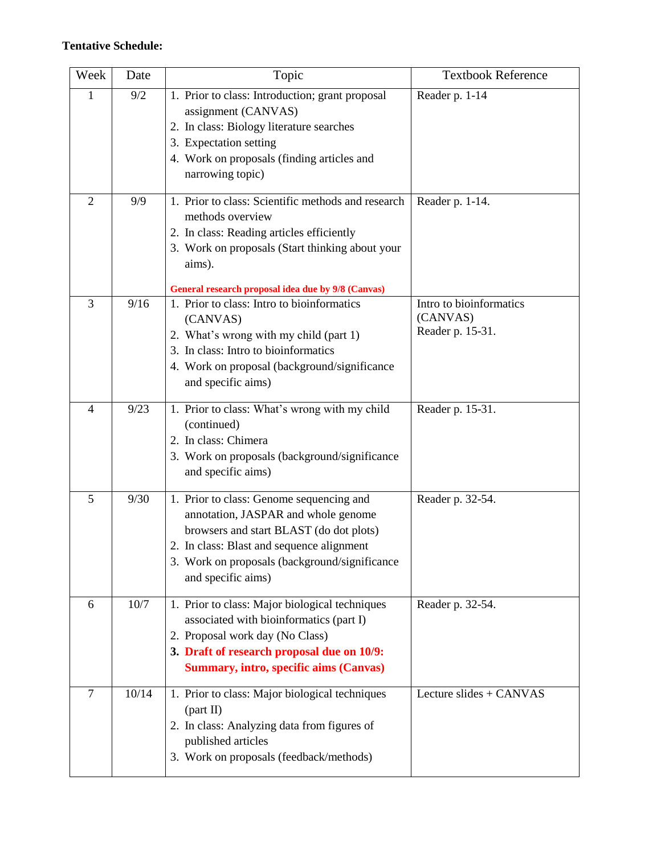## **Tentative Schedule:**

| Week           | Date  | Topic                                                                                                                                                                                                                                          | <b>Textbook Reference</b>                               |
|----------------|-------|------------------------------------------------------------------------------------------------------------------------------------------------------------------------------------------------------------------------------------------------|---------------------------------------------------------|
| 1              | 9/2   | 1. Prior to class: Introduction; grant proposal<br>assignment (CANVAS)<br>2. In class: Biology literature searches<br>3. Expectation setting<br>4. Work on proposals (finding articles and<br>narrowing topic)                                 | Reader p. 1-14                                          |
| $\overline{2}$ | 9/9   | 1. Prior to class: Scientific methods and research<br>methods overview<br>2. In class: Reading articles efficiently<br>3. Work on proposals (Start thinking about your<br>aims).<br>General research proposal idea due by 9/8 (Canvas)         | Reader p. 1-14.                                         |
| 3              | 9/16  | 1. Prior to class: Intro to bioinformatics<br>(CANVAS)<br>2. What's wrong with my child (part 1)<br>3. In class: Intro to bioinformatics<br>4. Work on proposal (background/significance<br>and specific aims)                                 | Intro to bioinformatics<br>(CANVAS)<br>Reader p. 15-31. |
| $\overline{4}$ | 9/23  | 1. Prior to class: What's wrong with my child<br>(continued)<br>2. In class: Chimera<br>3. Work on proposals (background/significance<br>and specific aims)                                                                                    | Reader p. 15-31.                                        |
| 5              | 9/30  | 1. Prior to class: Genome sequencing and<br>annotation, JASPAR and whole genome<br>browsers and start BLAST (do dot plots)<br>2. In class: Blast and sequence alignment<br>3. Work on proposals (background/significance<br>and specific aims) | Reader p. 32-54.                                        |
| 6              | 10/7  | 1. Prior to class: Major biological techniques<br>associated with bioinformatics (part I)<br>2. Proposal work day (No Class)<br>3. Draft of research proposal due on 10/9:<br><b>Summary, intro, specific aims (Canvas)</b>                    | Reader p. 32-54.                                        |
| $\overline{7}$ | 10/14 | 1. Prior to class: Major biological techniques<br>(part II)<br>2. In class: Analyzing data from figures of<br>published articles<br>3. Work on proposals (feedback/methods)                                                                    | Lecture slides + CANVAS                                 |